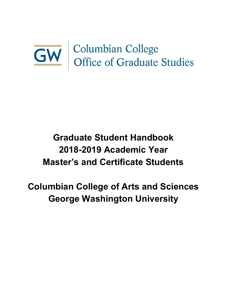# **GW** Columbian College<br>Office of Graduate Studies

# **Graduate Student Handbook 2018-2019 Academic Year Master's and Certificate Students**

# **Columbian College of Arts and Sciences George Washington University**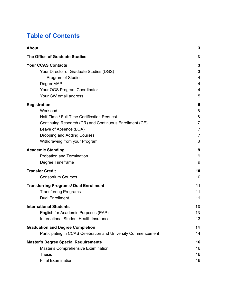# **Table of Contents**

| <b>About</b>                                                  | 3                       |
|---------------------------------------------------------------|-------------------------|
| <b>The Office of Graduate Studies</b>                         | 3                       |
| <b>Your CCAS Contacts</b>                                     | 3                       |
| Your Director of Graduate Studies (DGS)                       | 3                       |
| Program of Studies                                            | $\overline{\mathbf{4}}$ |
| DegreeMAP                                                     | 4                       |
| Your OGS Program Coordinator                                  | 4                       |
| Your GW email address                                         | 5                       |
| <b>Registration</b>                                           | 6                       |
| Workload                                                      | 6                       |
| Half-Time / Full-Time Certification Request                   | 6                       |
| Continuing Research (CR) and Continuous Enrollment (CE)       | $\overline{7}$          |
| Leave of Absence (LOA)                                        | 7                       |
| Dropping and Adding Courses                                   | $\overline{7}$          |
| Withdrawing from your Program                                 | 8                       |
| <b>Academic Standing</b>                                      | 9                       |
| <b>Probation and Termination</b>                              | 9                       |
| Degree Timeframe                                              | 9                       |
| <b>Transfer Credit</b>                                        | 10                      |
| <b>Consortium Courses</b>                                     | 10                      |
| <b>Transferring Programs/ Dual Enrollment</b>                 | 11                      |
| <b>Transferring Programs</b>                                  | 11                      |
| <b>Dual Enrollment</b>                                        | 11                      |
| <b>International Students</b>                                 | 13                      |
| English for Academic Purposes (EAP)                           | 13                      |
| International Student Health Insurance                        | 13                      |
| <b>Graduation and Degree Completion</b>                       | 14                      |
| Participating in CCAS Celebration and University Commencement | 14                      |
| <b>Master's Degree Special Requirements</b>                   | 16                      |
| Master's Comprehensive Examination                            | 16                      |
| <b>Thesis</b>                                                 | 16                      |
| <b>Final Examination</b>                                      | 16                      |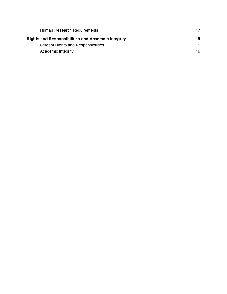<span id="page-2-0"></span>

| Human Research Requirements                               | 17 |
|-----------------------------------------------------------|----|
| <b>Rights and Responsibilities and Academic Integrity</b> | 19 |
| <b>Student Rights and Responsibilities</b>                | 19 |
| Academic Integrity                                        | 19 |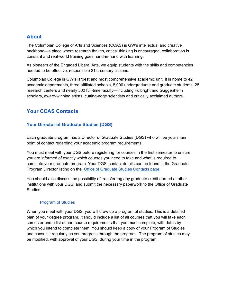# **About**

The Columbian College of Arts and Sciences (CCAS) is GW's intellectual and creative backbone—a place where research thrives, critical thinking is encouraged, collaboration is constant and real-world training goes hand-in-hand with learning.

As pioneers of the Engaged Liberal Arts, we equip students with the skills and competencies needed to be effective, responsible 21st-century citizens.

Columbian College is GW's largest and most comprehensive academic unit. It is home to 42 academic departments, three affiliated schools, 8,000 undergraduate and graduate students, 28 research centers and nearly 500 full-time faculty—including Fulbright and Guggenheim scholars, award-winning artists, cutting-edge scientists and critically acclaimed authors.

# <span id="page-3-0"></span>**Your CCAS Contacts**

#### <span id="page-3-1"></span>**Your Director of Graduate Studies (DGS)**

Each graduate program has a Director of Graduate Studies (DGS) who will be your main point of contact regarding your academic program requirements.

You must meet with your DGS before registering for courses in the first semester to ensure you are informed of exactly which courses you need to take and what is required to complete your graduate program. Your DGS' contact details can be found in the [Graduate](https://columbian.gwu.edu/program-directors) [Program](https://columbian.gwu.edu/program-directors) Director listing on the Office of [Graduate](https://columbian.gwu.edu/program-directors) Studies Contacts page.

You should also discuss the possibility of transferring any graduate credit earned at other institutions with your DGS, and submit the necessary paperwork to the Office of Graduate Studies.

#### Program of Studies

<span id="page-3-3"></span><span id="page-3-2"></span>When you meet with your DGS, you will draw up a program of studies. This is a detailed plan of your degree program. It should include a list of all courses that you will take each semester and a list of non-course requirements that you must complete, with dates by which you intend to complete them. You should keep a copy of your Program of Studies and consult it regularly as you progress through the program. The program of studies may be modified, with approval of your DGS, during your time in the program.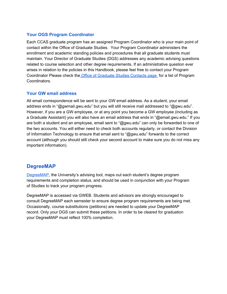#### **Your OGS Program Coordinator**

Each CCAS graduate program has an assigned Program Coordinator who is your main point of contact within the Office of Graduate Studies. Your Program Coordinator administers the enrollment and academic standing policies and procedures that all graduate students must maintain. Your Director of Graduate Studies (DGS) addresses any academic advising questions related to course selection and other degree requirements. If an administrative question ever arises in relation to the policies in this Handbook, please feel free to contact your Program Coordinator Please check the Office of [Graduate](http://columbian.gwu.edu/program-directors) Studies Contacts page for a list of Program Coordinators.

#### <span id="page-4-1"></span>**Your GW email address**

All email correspondence will be sent to your GW email address. As a student, your email address ends in "@gwmail.gwu.edu" but you will still receive mail addressed to "@gwu.edu". However, if you are a GW employee, or at any point you become a GW employee (including as a Graduate Assistant) you will also have an email address that ends in "@email.gwu.edu." If you are both a student and an employee, email sent to "@gwu.edu" can only be forwarded to one of the two accounts. You will either need to check both accounts regularly, or contact the Division of Information Technology to ensure that email sent to "@gwu.edu" forwards to the correct account (although you should still check your second account to make sure you do not miss any important information).

### <span id="page-4-0"></span>**DegreeMAP**

[DegreeMAP,](https://registrar.gwu.edu/students) the University's advising tool, maps out each student's degree program requirements and completion status, and should be used in conjunction with your Program of Studies to track your program progress.

DegreeMAP is accessed via GWEB. Students and advisors are strongly encouraged to consult DegreeMAP each semester to ensure degree program requirements are being met. Occasionally, course substitutions (petitions) are needed to update your DegreeMAP record. Only your DGS can submit these petitions. In order to be cleared for graduation your DegreeMAP must reflect 100% completion.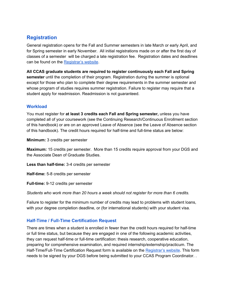# <span id="page-5-0"></span>**Registration**

General registration opens for the Fall and Summer semesters in late March or early April, and for Spring semester in early November. All initial registrations made on or after the first day of classes of a semester will be charged a late registration fee. Registration dates and deadlines can be found on the [Registrar's](http://registrar.gwu.edu/) website.

**All CCAS graduate students are required to register continuously each Fall and Spring semester** until the completion of their program. Registration during the summer is optional except for those who plan to complete their degree requirements in the summer semester and whose program of studies requires summer registration. Failure to register may require that a student apply for readmission. Readmission is not guaranteed.

#### <span id="page-5-1"></span>**Workload**

You must register for **at least 3 credits each Fall and Spring semester,** unless you have completed all of your coursework (see the Continuing Research/Continuous Enrollment section of this handbook) or are on an approved Leave of Absence (see the Leave of Absence section of this handbook). The credit hours required for half-time and full-time status are below:

**Minimum:** 3 credits per semester

**Maximum:** 15 credits per semester. More than 15 credits require approval from your DGS and the Associate Dean of Graduate Studies.

**Less than half-time:** 3-4 credits per semester

**Half-time:** 5-8 credits per semester

**Full-time:** 9-12 credits per semester

*Students who work more than 20 hours a week should not register for more than 6 credits.*

Failure to register for the minimum number of credits may lead to problems with student loans, with your degree completion deadline, or (for international students) with your student visa.

#### <span id="page-5-2"></span>**Half-Time / Full-Time Certification Request**

There are times when a student is enrolled in fewer than the credit hours required for half-time or full time status, but because they are engaged in one of the following academic activities, they can request half-time or full-time certification: thesis research, cooperative education, preparing for comprehensive examination, and required internship/externship/practicum. The Half-Time/Full-Time Certification Request form is available on the [Registrar's](http://registrar.gwu.edu/forms) website. This form needs to be signed by your DGS before being submitted to your CCAS Program Coordinator. .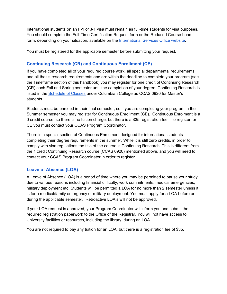International students on an F-1 or J-1 visa must remain as full-time students for visa purposes. You should complete the Full-Time Certification Request form or the Reduced Course Load form, depending on your situation, available on th[e](http://internationalservices.gwu.edu/) [International](http://internationalservices.gwu.edu/) Services Office website.

<span id="page-6-0"></span>You must be registered for the applicable semester before submitting your request.

#### **Continuing Research (CR) and Continuous Enrollment (CE)**

If you have completed all of your required course work, all special departmental requirements, and all thesis research requirements and are within the deadline to complete your program (see the Timeframe section of this handbook) you may register for one credit of Continuing Research (CR) each Fall and Spring semester until the completion of your degree. Continuing Research is listed in the **[Schedule](http://registrar.gwu.edu/schedule-classes) of Classes** under Columbian College as CCAS 0920 for Master's students.

Students must be enrolled in their final semester, so if you are completing your program in the Summer semester you may register for Continuous Enrollment (CE). Continuous Enrolment is a 0 credit course, so there is no tuition charge, but there is a \$35 registration fee. To register for CE you must contact your CCAS Program Coordinator.

There is a special section of Continuous Enrollment designed for international students completing their degree requirements in the summer. While it is still zero credits, in order to comply with visa regulations the title of the course is Continuing Research. This is different from the 1 credit Continuing Research course (CCAS 0920) mentioned above, and you will need to contact your CCAS Program Coordinator in order to register.

#### <span id="page-6-1"></span>**Leave of Absence (LOA)**

A Leave of Absence (LOA) is a period of time where you may be permitted to pause your study due to various reasons including financial difficulty, work commitments, medical emergencies, military deployment etc. Students will be permitted a LOA for no more than 2 semester unless it is for a medical/family emergency or military deployment. You must apply for a LOA before or during the applicable semester. Retroactive LOA's will not be approved.

If your LOA request is approved, your Program Coordinator will inform you and submit the required registration paperwork to the Office of the Registrar. You will not have access to University facilities or resources, including the library, during an LOA.

<span id="page-6-2"></span>You are not required to pay any tuition for an LOA, but there is a registration fee of \$35.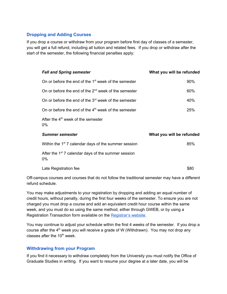#### **Dropping and Adding Courses**

If you drop a course or withdraw from your program before first day of classes of a semester, you will get a full refund, including all tuition and related fees. If you drop or withdraw after the start of the semester, the following financial penalties apply:

| <b>Fall and Spring semester</b>                                          | What you will be refunded |
|--------------------------------------------------------------------------|---------------------------|
| On or before the end of the 1 <sup>st</sup> week of the semester         | 90%                       |
| On or before the end of the 2 <sup>nd</sup> week of the semester         | 60%                       |
| On or before the end of the 3 <sup>rd</sup> week of the semester         | 40%                       |
| On or before the end of the $4th$ week of the semester                   | 25%                       |
| After the 4 <sup>th</sup> week of the semester<br>$0\%$                  |                           |
| <b>Summer semester</b>                                                   | What you will be refunded |
| Within the 1 <sup>st</sup> 7 calendar days of the summer session         | 85%                       |
| After the 1 <sup>st</sup> 7 calendar days of the summer session<br>$0\%$ |                           |
| Late Registration fee                                                    | \$80                      |

Off-campus courses and courses that do not follow the traditional semester may have a different refund schedule.

You may make adjustments to your registration by dropping and adding an equal number of credit hours, without penalty, during the first four weeks of the semester. To ensure you are not charged you must drop a course and add an equivalent credit hour course within the same week, and you must do so using the same method, either through GWEB, or by using a Registration Transaction form available on the [Registrar's](http://registrar.gwu.edu/forms) website.

You may continue to adjust your schedule within the first 4 weeks of the semester. If you drop a course after the 4<sup>th</sup> week you will receive a grade of W (Withdrawn). You may not drop any classes after the 10<sup>th</sup> week.

#### **Withdrawing from your Program**

If you find it necessary to withdraw completely from the University you must notify the Office of Graduate Studies in writing. If you want to resume your degree at a later date, you will be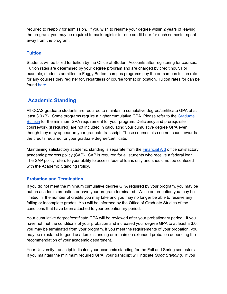required to reapply for admission. If you wish to resume your degree within 2 years of leaving the program, you may be required to back register for one credit hour for each semester spent away from the program.

#### **Tuition**

Students will be billed for tuition by the Office of Student Accounts after registering for courses. Tuition rates are determined by your degree program and are charged by credit hour. For example, students admitted to Foggy Bottom campus programs pay the on-campus tuition rate for any courses they register for, regardless of course format or location. Tuition rates for can be found [here](https://studentaccounts.gwu.edu/graduate-tuition).

## <span id="page-8-0"></span>**Academic Standing**

All CCAS graduate students are required to maintain a cumulative degree/certificate GPA of at l[e](http://bulletin.gwu.edu/)ast 3.0 (B). Some programs require a higher cumulative GPA. Please refer to the [Graduate](http://bulletin.gwu.edu/) [Bulletin](http://bulletin.gwu.edu/) for the minimum GPA requirement for your program. Deficiency and prerequisite coursework (if required) are not included in calculating your cumulative degree GPA even though they may appear on your graduate transcript. These courses also do not count towards the credits required for your graduate degree/certificate.

Maintaining satisfactory academic standing is separate from the [Financial](http://financialaid.gwu.edu/) Aid office satisfactory academic progress policy (SAP). SAP is required for all students who receive a federal loan. The SAP policy refers to your ability to access federal loans only and should not be confused with the Academic Standing Policy.

#### <span id="page-8-1"></span>**Probation and Termination**

If you do not meet the minimum cumulative degree GPA required by your program, you may be put on academic probation or have your program terminated. While on probation you may be limited in the number of credits you may take and you may no longer be able to receive any failing or incomplete grades. You will be informed by the Office of Graduate Studies of the conditions that have been attached to your probationary period.

Your cumulative degree/certificate GPA will be reviewed after your probationary period. If you have not met the conditions of your probation and increased your degree GPA to at least a 3.0, you may be terminated from your program. If you meet the requirements of your probation, you may be reinstated to good academic standing or remain on extended probation depending the recommendation of your academic department.

Your University transcript indicates your academic standing for the Fall and Spring semesters. If you maintain the minimum required GPA, your transcript will indicate *Good Standing*. If you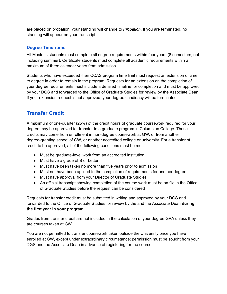are placed on probation, your standing will change to *Probation*. If you are terminated, no standing will appear on your transcript.

#### <span id="page-9-0"></span>**Degree Timeframe**

All Master's students must complete all degree requirements within four years (8 semesters, not including summer). Certificate students must complete all academic requirements within a maximum of three calendar years from admission.

Students who have exceeded their CCAS program time limit must request an extension of time to degree in order to remain in the program. Requests for an extension on the completion of your degree requirements must include a detailed timeline for completion and must be approved by your DGS and forwarded to the Office of Graduate Studies for review by the Associate Dean. If your extension request is not approved, your degree candidacy will be terminated.

# <span id="page-9-1"></span>**Transfer Credit**

A maximum of one-quarter (25%) of the credit hours of graduate coursework required for your degree may be approved for transfer to a graduate program in Columbian College. These credits may come from enrollment in non-degree coursework at GW, or from another degree-granting school of GW, or another accredited college or university. For a transfer of credit to be approved, all of the following conditions must be met:

- Must be graduate-level work from an accredited institution
- Must have a grade of B or better
- Must have been taken no more than five years prior to admission
- Must not have been applied to the completion of requirements for another degree
- Must have approval from your Director of Graduate Studies
- An official transcript showing completion of the course work must be on file in the Office of Graduate Studies before the request can be considered

Requests for transfer credit must be submitted in writing and approved by your DGS and forwarded to the Office of Graduate Studies for review by the and the Associate Dean **during the first year in your program**.

Grades from transfer credit are not included in the calculation of your degree GPA unless they are courses taken at GW.

<span id="page-9-2"></span>You are not permitted to transfer coursework taken outside the University once you have enrolled at GW, except under extraordinary circumstance; permission must be sought from your DGS and the Associate Dean in advance of registering for the course.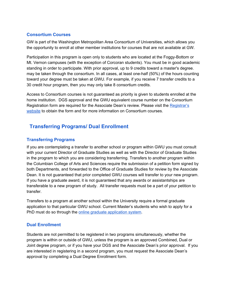#### **Consortium Courses**

GW is part of the Washington Metropolitan Area Consortium of Universities, which allows you the opportunity to enroll at other member institutions for courses that are not available at GW.

Participation in this program is open only to students who are located at the Foggy-Bottom or Mt. Vernon campuses (with the exception of Corcoran students). You must be in good academic standing in order to participate. With prior approval, up to 9 credits toward a master's degree. may be taken through the consortium. In all cases, at least one-half (50%) of the hours counting toward your degree must be taken at GWU. For example, if you receive 7 transfer credits to a 30 credit hour program, then you may only take 8 consortium credits.

Access to Consortium courses is not guaranteed as priority is given to students enrolled at the home institution. DGS approval and the GWU equivalent course number on the Consortium Registration form are required for the Associate Dean's review. Please visit th[e](http://registrar.gwu.edu/consortium) [Registrar's](http://registrar.gwu.edu/consortium) [website](http://registrar.gwu.edu/consortium) to obtain the form and for more information on Consortium courses.

# **Transferring Programs/ Dual Enrollment**

#### <span id="page-10-0"></span>**Transferring Programs**

If you are contemplating a transfer to another school or program within GWU you must consult with your current Director of Graduate Studies as well as with the Director of Graduate Studies in the program to which you are considering transferring. Transfers to another program within the Columbian College of Arts and Sciences require the submission of a petition form signed by both Departments, and forwarded to the Office of Graduate Studies for review by the Associate Dean. It is not guaranteed that prior completed GWU courses will transfer to your new program. If you have a graduate award, it is not guaranteed that any awards or assistantships are transferable to a new program of study. All transfer requests must be a part of your petition to transfer.

Transfers to a program at another school within the University require a formal graduate application to that particular GWU school. Current Master's students who wish to apply for a PhD must do so through the online graduate [application](https://gw.force.com/) system.

#### <span id="page-10-1"></span>**Dual Enrollment**

Students are not permitted to be registered in two programs simultaneously, whether the program is within or outside of GWU, unless the program is an approved Combined, Dual or Joint degree program, or if you have your DGS and the Associate Dean's prior approval. If you are interested in registering in a second program, you must request the Associate Dean's approval by completing a Dual Degree Enrollment form.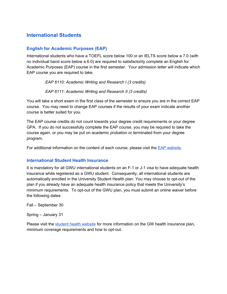# <span id="page-11-0"></span>**International Students**

#### <span id="page-11-1"></span>**English for Academic Purposes (EAP)**

International students who have a TOEFL score below 100 or an IELTS score below a 7.0 (with no individual band score below a 6.0) are required to satisfactorily complete an English for Academic Purposes (EAP) course in the first semester. Your admission letter will indicate which EAP course you are required to take.

*EAP 6110: Academic Writing and Research I (3 credits)*

*EAP 6111: Academic Writing and Research II (3 credits)*

You will take a short exam in the first class of the semester to ensure you are in the correct EAP course. You may need to change EAP courses if the results of your exam indicate another course is better suited for you.

The EAP course credits do not count towards your degree credit requirements or your degree GPA. If you do not successfully complete the EAP course, you may be required to take the course again, or you may be put on academic probation or terminated from your degree program.

For additional information on the content of each course, please visit the [E](http://eap.columbian.gwu.edu/)AP [website](http://eap.columbian.gwu.edu/).

#### <span id="page-11-2"></span>**International Student Health Insurance**

It is mandatory for all GWU international students on an F-1 or J-1 visa to have adequate health insurance while registered as a GWU student. Consequently, all international students are automatically enrolled in the University Student Health plan. You may choose to opt-out of the plan if you already have an adequate health insurance policy that meets the University's minimum requirements. To opt-out of the GWU plan, you must submit an online waiver before the following dates:

Fall – September 30

Spring – January 31

Please visit the student health [website](https://healthcenter.gwu.edu/student-health-insurance) for more information on the GW health insurance plan, minimum coverage requirements and how to opt-out.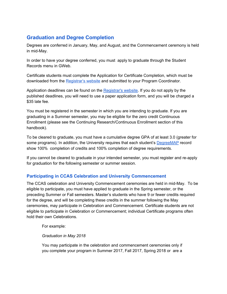# <span id="page-12-0"></span>**Graduation and Degree Completion**

Degrees are conferred in January, May, and August, and the Commencement ceremony is held in mid-May.

In order to have your degree conferred, you must apply to graduate through the Student Records menu in GWeb.

Certificate students must complete the Application for Certificate Completion, which must be downloaded from the [Registrar's](http://registrar.gwu.edu/forms) website and submitted to your Program Coordinator.

Application deadlines can be found on th[e](http://registrar.gwu.edu/online-graduation-application-instructions) [Registrar's](http://registrar.gwu.edu/online-graduation-application-instructions) website. If you do not apply by the published deadlines, you will need to use a paper application form, and you will be charged a \$35 late fee.

You must be registered in the semester in which you are intending to graduate. If you are graduating in a Summer semester, you may be eligible for the zero credit Continuous Enrollment (please see the Continuing Research/Continuous Enrollment section of this handbook).

To be cleared to graduate, you must have a cumulative degree GPA of at least 3.0 (greater for some programs). In addition, the University requires that each student's [DegreeMAP](https://registrar.gwu.edu/students) record show 100% completion of credits and 100% completion of degree requirements.

If you cannot be cleared to graduate in your intended semester, you must register and re-apply for graduation for the following semester or summer session.

#### <span id="page-12-1"></span>**Participating in CCAS Celebration and University Commencement**

The CCAS celebration and University Commencement ceremonies are held in mid-May. To be eligible to participate, you must have applied to graduate in the Spring semester, or the preceding Summer or Fall semesters. Master's students who have 9 or fewer credits required for the degree, and will be completing these credits in the summer following the May ceremonies, may participate in Celebration and Commencement. Certificate students are not eligible to participate in Celebration or Commencement; individual Certificate programs often hold their own Celebrations.

For example:

*Graduation in May 2018*

You may participate in the celebration and commencement ceremonies only if you complete your program in Summer 2017, Fall 2017, Spring 2018 or are a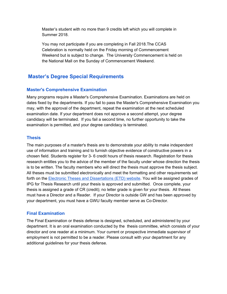Master's student with no more than 9 credits left which you will complete in Summer 2018.

You may not participate if you are completing in Fall 2018.The CCAS Celebration is normally held on the Friday morning of Commencement Weekend but is subject to change. The University Commencement is held on the National Mall on the Sunday of Commencement Weekend.

# **Master's Degree Special Requirements**

#### <span id="page-13-0"></span>**Master's Comprehensive Examination**

Many programs require a Master's Comprehensive Examination. Examinations are held on dates fixed by the departments. If you fail to pass the Master's Comprehensive Examination you may, with the approval of the department, repeat the examination at the next scheduled examination date. If your department does not approve a second attempt, your degree candidacy will be terminated. If you fail a second time, no further opportunity to take the examination is permitted, and your degree candidacy is terminated.

#### <span id="page-13-1"></span>**Thesis**

The main purposes of a master's thesis are to demonstrate your ability to make independent use of information and training and to furnish objective evidence of constructive powers in a chosen field. Students register for 3- 6 credit hours of thesis research. Registration for thesis research entitles you to the advice of the member of the faculty under whose direction the thesis is to be written. The faculty members who will direct the thesis must approve the thesis subject. All theses must be submitted electronically and meet the formatting and other requirements set forth on the Electronic Theses and [Dissertations](http://library.gwu.edu/etd) (ETD) website. You will be assigned grades of IPG for Thesis Research until your thesis is approved and submitted. Once complete, your thesis is assigned a grade of CR (credit); no letter grade is given for your thesis. All theses must have a Director and a Reader. If your Director is outside GW and has been approved by your department, you must have a GWU faculty member serve as Co-Director.

#### <span id="page-13-2"></span>**Final Examination**

The Final Examination or thesis defense is designed, scheduled, and administered by your department. It is an oral examination conducted by the thesis committee, which consists of your director and one reader at a minimum. Your current or prospective immediate supervisor of employment is not permitted to be a reader. Please consult with your department for any additional guidelines for your thesis defense.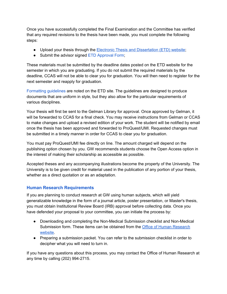Once you have successfully completed the Final Examination and the Committee has verified that any required revisions to the thesis have been made, you must complete the following steps:

- Upload your thesis through the Electronic Thesis and [Dissertation](http://library.gwu.edu/etd) (ETD) website;
- Submit the advisor signed ETD [Approval](http://columbian.gwu.edu/sites/default/files/u6/etd_approval_form_10.doc) Form;

These materials must be submitted by the deadline dates posted on the ETD website for the semester in which you are graduating. If you do not submit the required materials by the deadline, CCAS will not be able to clear you for graduation. You will then need to register for the next semester and reapply for graduation.

[Formatting](http://columbian.gwu.edu/sites/default/files/u6/etd_formatting_guidelines_10.doc) guidelines are noted on the ETD site. The guidelines are designed to produce documents that are uniform in style, but they also allow for the particular requirements of various disciplines.

Your thesis will first be sent to the Gelman Library for approval. Once approved by Gelman, it will be forwarded to CCAS for a final check. You may receive instructions from Gelman or CCAS to make changes and upload a revised edition of your work. The student will be notified by email once the thesis has been approved and forwarded to ProQuest/UMI. Requested changes must be submitted in a timely manner in order for CCAS to clear you for graduation.

You must pay ProQuest/UMI fee directly on line. The amount charged will depend on the publishing option chosen by you. GW recommends students choose the Open Access option in the interest of making their scholarship as accessible as possible.

Accepted theses and any accompanying illustrations become the property of the University. The University is to be given credit for material used in the publication of any portion of your thesis, whether as a direct quotation or as an adaptation.

#### <span id="page-14-0"></span>**Human Research Requirements**

If you are planning to conduct research at GW using human subjects, which will yield generalizable knowledge in the form of a journal article, poster presentation, or Master's thesis, you must obtain Institutional Review Board (IRB) approval before collecting data. Once you have defended your proposal to your committee, you can initiate the process by:

- Downloading and completing the Non-Medical Submission checklist and Non-Medical Submission form. These items can be obtained from the Office of Human [Research](https://humanresearch.gwu.edu/IRBforms) [website.](https://humanresearch.gwu.edu/IRBforms)
- Preparing a submission packet. You can refer to the submission checklist in order to decipher what you will need to turn in.

If you have any questions about this process, you may contact the Office of Human Research at any time by calling (202) 994-2715.